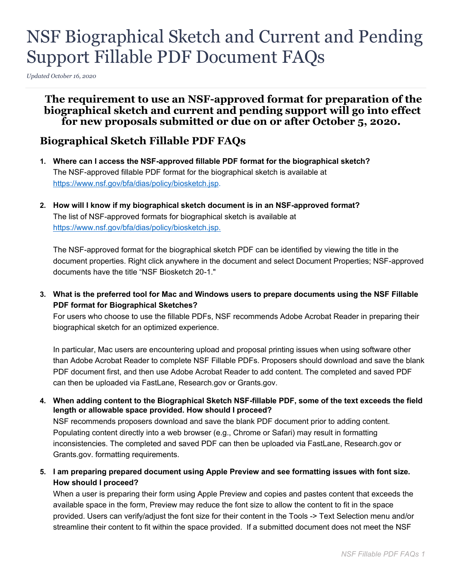# NSF Biographical Sketch and Current and Pending Support Fillable PDF Document FAQs

*Updated October 16, 2020*

# **The requirement to use an NSF-approved format for preparation of the biographical sketch and current and pending support will go into effect for new proposals submitted or due on or after October 5, 2020.**

# **Biographical Sketch Fillable PDF FAQs**

- **1. Where can I access the NSF-approved fillable PDF format for the biographical sketch?** The NSF-approved fillable PDF format for the biographical sketch is available at [https://www.nsf.gov/bfa/dias/policy/biosketch.jsp.](https://www.nsf.gov/bfa/dias/policy/biosketch.jsp)
- **2. How will I know if my biographical sketch document is in an NSF-approved format?** The list of NSF-approved formats for biographical sketch is available at [https://www.nsf.gov/bfa/dias/policy/biosketch.jsp.](https://www.nsf.gov/bfa/dias/policy/biosketch.jsp)

The NSF-approved format for the biographical sketch PDF can be identified by viewing the title in the document properties. Right click anywhere in the document and select Document Properties; NSF-approved documents have the title "NSF Biosketch 20-1."

**3. What is the preferred tool for Mac and Windows users to prepare documents using the NSF Fillable PDF format for Biographical Sketches?**

For users who choose to use the fillable PDFs, NSF recommends Adobe Acrobat Reader in preparing their biographical sketch for an optimized experience.

In particular, Mac users are encountering upload and proposal printing issues when using software other than Adobe Acrobat Reader to complete NSF Fillable PDFs. Proposers should download and save the blank PDF document first, and then use Adobe Acrobat Reader to add content. The completed and saved PDF can then be uploaded via FastLane, Research.gov or Grants.gov.

**4. When adding content to the Biographical Sketch NSF-fillable PDF, some of the text exceeds the field length or allowable space provided. How should I proceed?**

NSF recommends proposers download and save the blank PDF document prior to adding content. Populating content directly into a web browser (e.g., Chrome or Safari) may result in formatting inconsistencies. The completed and saved PDF can then be uploaded via FastLane, Research.gov or Grants.gov. formatting requirements.

**5. I am preparing prepared document using Apple Preview and see formatting issues with font size. How should I proceed?**

When a user is preparing their form using Apple Preview and copies and pastes content that exceeds the available space in the form, Preview may reduce the font size to allow the content to fit in the space provided. Users can verify/adjust the font size for their content in the Tools -> Text Selection menu and/or streamline their content to fit within the space provided. If a submitted document does not meet the NSF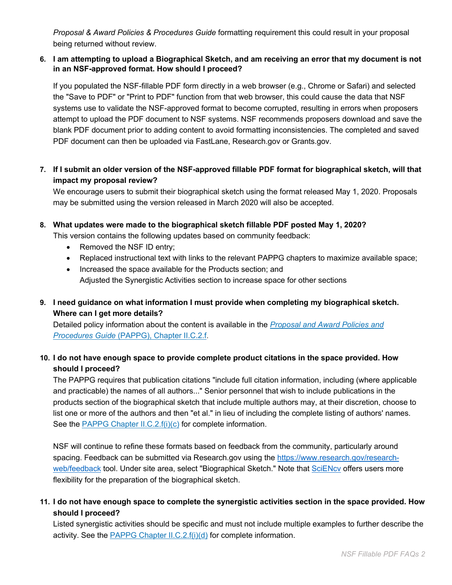*Proposal & Award Policies & Procedures Guide* formatting requirement this could result in your proposal being returned without review.

#### **6. I am attempting to upload a Biographical Sketch, and am receiving an error that my document is not in an NSF-approved format. How should I proceed?**

If you populated the NSF-fillable PDF form directly in a web browser (e.g., Chrome or Safari) and selected the "Save to PDF" or "Print to PDF" function from that web browser, this could cause the data that NSF systems use to validate the NSF-approved format to become corrupted, resulting in errors when proposers attempt to upload the PDF document to NSF systems. NSF recommends proposers download and save the blank PDF document prior to adding content to avoid formatting inconsistencies. The completed and saved PDF document can then be uploaded via FastLane, Research.gov or Grants.gov.

**7. If I submit an older version of the NSF-approved fillable PDF format for biographical sketch, will that impact my proposal review?**

We encourage users to submit their biographical sketch using the format released May 1, 2020. Proposals may be submitted using the version released in March 2020 will also be accepted.

#### **8. What updates were made to the biographical sketch fillable PDF posted May 1, 2020?**

This version contains the following updates based on community feedback:

- Removed the NSF ID entry;
- Replaced instructional text with links to the relevant PAPPG chapters to maximize available space;
- Increased the space available for the Products section; and Adjusted the Synergistic Activities section to increase space for other sections

# **9. I need guidance on what information I must provide when completing my biographical sketch. Where can I get more details?**

Detailed policy information about the content is available in the *[Proposal and Award Policies and](https://www.nsf.gov/pubs/policydocs/pappg20_1/pappg_2.jsp#IIC2f)  Procedures Guide* [\(PAPPG\), Chapter II.C.2.f.](https://www.nsf.gov/pubs/policydocs/pappg20_1/pappg_2.jsp#IIC2f)

# **10. I do not have enough space to provide complete product citations in the space provided. How should I proceed?**

The PAPPG requires that publication citations "include full citation information, including (where applicable and practicable) the names of all authors..." Senior personnel that wish to include publications in the products section of the biographical sketch that include multiple authors may, at their discretion, choose to list one or more of the authors and then "et al." in lieu of including the complete listing of authors' names. See the [PAPPG Chapter II.C.2.f\(i\)\(c\)](https://www.nsf.gov/pubs/policydocs/pappg20_1/pappg_2.jsp#IIC2fic) for complete information.

NSF will continue to refine these formats based on feedback from the community, particularly around spacing. Feedback can be submitted via Research.gov using the [https://www.research.gov/research](https://www.research.gov/research-web/feedback)[web/feedback](https://www.research.gov/research-web/feedback) tool. Under site area, select "Biographical Sketch." Note that SciENcy offers users more flexibility for the preparation of the biographical sketch.

## **11. I do not have enough space to complete the synergistic activities section in the space provided. How should I proceed?**

Listed synergistic activities should be specific and must not include multiple examples to further describe the activity. See the [PAPPG Chapter II.C.2.f\(i\)\(d\)](https://www.nsf.gov/pubs/policydocs/pappg20_1/pappg_2.jsp#IIC2fid) for complete information.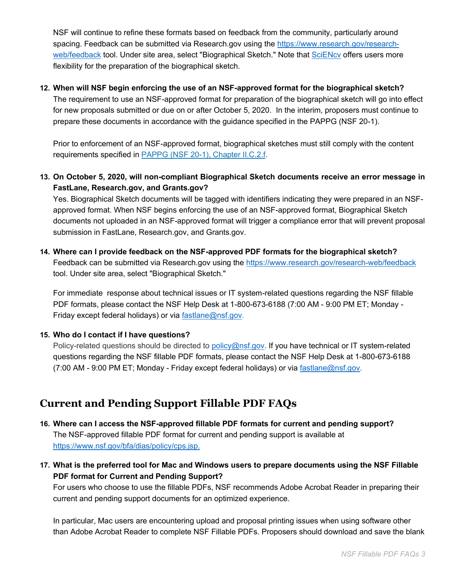NSF will continue to refine these formats based on feedback from the community, particularly around spacing. Feedback can be submitted via Research.gov using the [https://www.research.gov/research](https://www.research.gov/research-web/feedback)[web/feedback](https://www.research.gov/research-web/feedback) tool. Under site area, select "Biographical Sketch." Note that [SciENcv](https://www.ncbi.nlm.nih.gov/sciencv/) offers users more flexibility for the preparation of the biographical sketch.

#### **12. When will NSF begin enforcing the use of an NSF-approved format for the biographical sketch?**

The requirement to use an NSF-approved format for preparation of the biographical sketch will go into effect for new proposals submitted or due on or after October 5, 2020. In the interim, proposers must continue to prepare these documents in accordance with the guidance specified in the PAPPG (NSF 20-1).

Prior to enforcement of an NSF-approved format, biographical sketches must still comply with the content requirements specified in [PAPPG \(NSF 20-1\), Chapter II.C.2.f.](https://www.nsf.gov/pubs/policydocs/pappg20_1/pappg_2.jsp#IIC2f)

# **13. On October 5, 2020, will non-compliant Biographical Sketch documents receive an error message in FastLane, Research.gov, and Grants.gov?**

Yes. Biographical Sketch documents will be tagged with identifiers indicating they were prepared in an NSFapproved format. When NSF begins enforcing the use of an NSF-approved format, Biographical Sketch documents not uploaded in an NSF-approved format will trigger a compliance error that will prevent proposal submission in FastLane, Research.gov, and Grants.gov.

#### **14. Where can I provide feedback on the NSF-approved PDF formats for the biographical sketch?**

Feedback can be submitted via Research.gov using the<https://www.research.gov/research-web/feedback> tool. Under site area, select "Biographical Sketch."

For immediate response about technical issues or IT system-related questions regarding the NSF fillable PDF formats, please contact the NSF Help Desk at 1-800-673-6188 (7:00 AM - 9:00 PM ET; Monday Friday except federal holidays) or via [fastlane@nsf.gov.](mailto:fastlane@nsf.gov)

#### **15. Who do I contact if I have questions?**

Policy-related questions should be directed to [policy@nsf.gov.](mailto:policy@nsf.gov) If you have technical or IT system-related questions regarding the NSF fillable PDF formats, please contact the NSF Help Desk at 1-800-673-6188 (7:00 AM - 9:00 PM ET; Monday - Friday except federal holidays) or via [fastlane@nsf.gov.](mailto:fastlane@nsf.gov)

# **Current and Pending Support Fillable PDF FAQs**

- **16. Where can I access the NSF-approved fillable PDF formats for current and pending support?** The NSF-approved fillable PDF format for current and pending support is available at [https://www.nsf.gov/bfa/dias/policy/cps.jsp.](https://www.nsf.gov/bfa/dias/policy/cps.jsp)
- **17. What is the preferred tool for Mac and Windows users to prepare documents using the NSF Fillable PDF format for Current and Pending Support?**

For users who choose to use the fillable PDFs, NSF recommends Adobe Acrobat Reader in preparing their current and pending support documents for an optimized experience.

In particular, Mac users are encountering upload and proposal printing issues when using software other than Adobe Acrobat Reader to complete NSF Fillable PDFs. Proposers should download and save the blank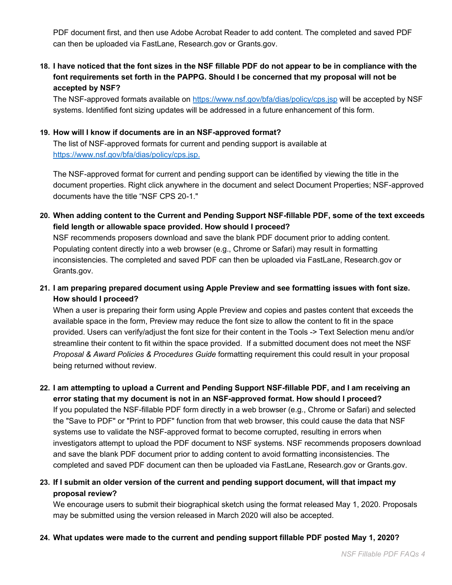PDF document first, and then use Adobe Acrobat Reader to add content. The completed and saved PDF can then be uploaded via FastLane, Research.gov or Grants.gov.

# **18. I have noticed that the font sizes in the NSF fillable PDF do not appear to be in compliance with the font requirements set forth in the PAPPG. Should I be concerned that my proposal will not be accepted by NSF?**

The NSF-approved formats available on<https://www.nsf.gov/bfa/dias/policy/cps.jsp> will be accepted by NSF systems. Identified font sizing updates will be addressed in a future enhancement of this form.

#### **19. How will I know if documents are in an NSF-approved format?**

The list of NSF-approved formats for current and pending support is available at [https://www.nsf.gov/bfa/dias/policy/cps.jsp.](https://www.nsf.gov/bfa/dias/policy/cps.jsp)

The NSF-approved format for current and pending support can be identified by viewing the title in the document properties. Right click anywhere in the document and select Document Properties; NSF-approved documents have the title "NSF CPS 20-1."

**20. When adding content to the Current and Pending Support NSF-fillable PDF, some of the text exceeds field length or allowable space provided. How should I proceed?**

NSF recommends proposers download and save the blank PDF document prior to adding content. Populating content directly into a web browser (e.g., Chrome or Safari) may result in formatting inconsistencies. The completed and saved PDF can then be uploaded via FastLane, Research.gov or Grants.gov.

**21. I am preparing prepared document using Apple Preview and see formatting issues with font size. How should I proceed?**

When a user is preparing their form using Apple Preview and copies and pastes content that exceeds the available space in the form, Preview may reduce the font size to allow the content to fit in the space provided. Users can verify/adjust the font size for their content in the Tools -> Text Selection menu and/or streamline their content to fit within the space provided. If a submitted document does not meet the NSF *Proposal & Award Policies & Procedures Guide* formatting requirement this could result in your proposal being returned without review.

- **22. I am attempting to upload a Current and Pending Support NSF-fillable PDF, and I am receiving an error stating that my document is not in an NSF-approved format. How should I proceed?** If you populated the NSF-fillable PDF form directly in a web browser (e.g., Chrome or Safari) and selected the "Save to PDF" or "Print to PDF" function from that web browser, this could cause the data that NSF systems use to validate the NSF-approved format to become corrupted, resulting in errors when investigators attempt to upload the PDF document to NSF systems. NSF recommends proposers download and save the blank PDF document prior to adding content to avoid formatting inconsistencies. The completed and saved PDF document can then be uploaded via FastLane, Research.gov or Grants.gov.
- **23. If I submit an older version of the current and pending support document, will that impact my proposal review?**

We encourage users to submit their biographical sketch using the format released May 1, 2020. Proposals may be submitted using the version released in March 2020 will also be accepted.

**24. What updates were made to the current and pending support fillable PDF posted May 1, 2020?**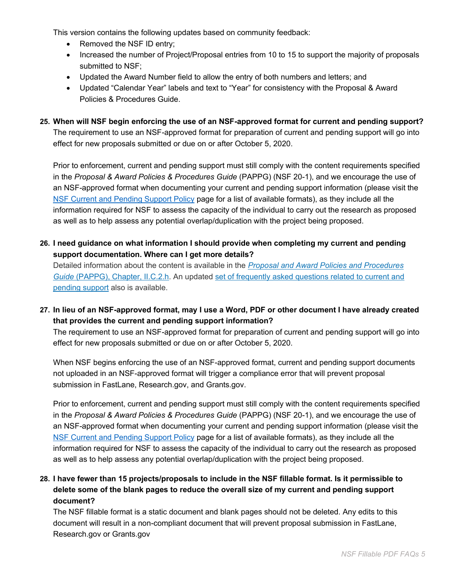This version contains the following updates based on community feedback:

- Removed the NSF ID entry;
- Increased the number of Project/Proposal entries from 10 to 15 to support the majority of proposals submitted to NSF;
- Updated the Award Number field to allow the entry of both numbers and letters; and
- Updated "Calendar Year" labels and text to "Year" for consistency with the Proposal & Award Policies & Procedures Guide.
- **25. When will NSF begin enforcing the use of an NSF-approved format for current and pending support?** The requirement to use an NSF-approved format for preparation of current and pending support will go into effect for new proposals submitted or due on or after October 5, 2020.

Prior to enforcement, current and pending support must still comply with the content requirements specified in the *Proposal & Award Policies & Procedures Guide* (PAPPG) (NSF 20-1), and we encourage the use of an NSF-approved format when documenting your current and pending support information (please visit the [NSF Current and Pending Support Policy](https://www.nsf.gov/bfa/dias/policy/cps.jsp) page for a list of available formats), as they include all the information required for NSF to assess the capacity of the individual to carry out the research as proposed as well as to help assess any potential overlap/duplication with the project being proposed.

**26. I need guidance on what information I should provide when completing my current and pending support documentation. Where can I get more details?**

Detailed information about the content is available in the *[Proposal and Award Policies and Procedures](https://www.nsf.gov/pubs/policydocs/pappg20_1/pappg_2.jsp#IIC2h)  Guide* [\(PAPPG\), Chapter, II.C.2.h.](https://www.nsf.gov/pubs/policydocs/pappg20_1/pappg_2.jsp#IIC2h) An updated [set of frequently asked questions related to current and](https://www.nsf.gov/bfa/dias/policy/papp/pappg20_1/faqs_cps20_1.pdf)  [pending support](https://www.nsf.gov/bfa/dias/policy/papp/pappg20_1/faqs_cps20_1.pdf) also is available.

**27. In lieu of an NSF-approved format, may I use a Word, PDF or other document I have already created that provides the current and pending support information?** 

The requirement to use an NSF-approved format for preparation of current and pending support will go into effect for new proposals submitted or due on or after October 5, 2020.

When NSF begins enforcing the use of an NSF-approved format, current and pending support documents not uploaded in an NSF-approved format will trigger a compliance error that will prevent proposal submission in FastLane, Research.gov, and Grants.gov.

Prior to enforcement, current and pending support must still comply with the content requirements specified in the *Proposal & Award Policies & Procedures Guide* (PAPPG) (NSF 20-1), and we encourage the use of an NSF-approved format when documenting your current and pending support information (please visit the [NSF Current and Pending Support Policy](https://www.nsf.gov/bfa/dias/policy/cps.jsp) page for a list of available formats), as they include all the information required for NSF to assess the capacity of the individual to carry out the research as proposed as well as to help assess any potential overlap/duplication with the project being proposed.

# **28. I have fewer than 15 projects/proposals to include in the NSF fillable format. Is it permissible to delete some of the blank pages to reduce the overall size of my current and pending support document?**

The NSF fillable format is a static document and blank pages should not be deleted. Any edits to this document will result in a non-compliant document that will prevent proposal submission in FastLane, Research.gov or Grants.gov